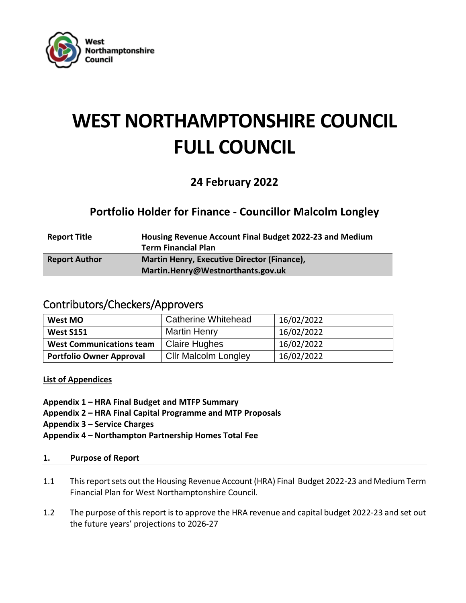

# **WEST NORTHAMPTONSHIRE COUNCIL FULL COUNCIL**

# **24 February 2022**

# **Portfolio Holder for Finance - Councillor Malcolm Longley**

| <b>Report Title</b>  | Housing Revenue Account Final Budget 2022-23 and Medium |
|----------------------|---------------------------------------------------------|
|                      | <b>Term Financial Plan</b>                              |
| <b>Report Author</b> | <b>Martin Henry, Executive Director (Finance),</b>      |
|                      | Martin.Henry@Westnorthants.gov.uk                       |

### Contributors/Checkers/Approvers

| West MO                         | <b>Catherine Whitehead</b>  | 16/02/2022 |
|---------------------------------|-----------------------------|------------|
| <b>West S151</b>                | <b>Martin Henry</b>         | 16/02/2022 |
| <b>West Communications team</b> | <b>Claire Hughes</b>        | 16/02/2022 |
| <b>Portfolio Owner Approval</b> | <b>Cllr Malcolm Longley</b> | 16/02/2022 |

**List of Appendices**

- **Appendix 1 – HRA Final Budget and MTFP Summary**
- **Appendix 2 – HRA Final Capital Programme and MTP Proposals**
- **Appendix 3 – Service Charges**
- **Appendix 4 – Northampton Partnership Homes Total Fee**

#### **1. Purpose of Report**

- 1.1 This report sets out the Housing Revenue Account (HRA) Final Budget 2022-23 and Medium Term Financial Plan for West Northamptonshire Council.
- 1.2 The purpose of this report is to approve the HRA revenue and capital budget 2022-23 and set out the future years' projections to 2026-27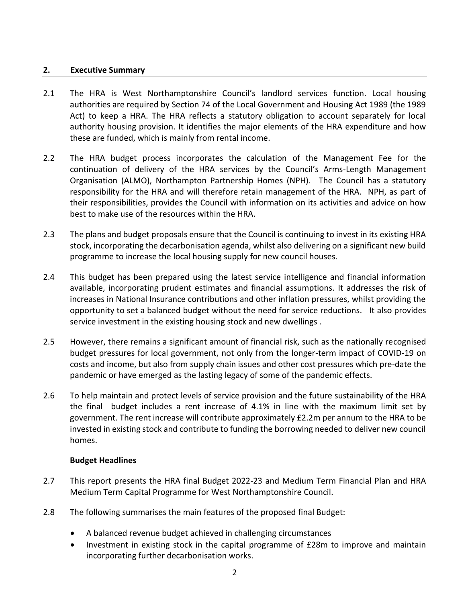#### **2. Executive Summary**

- 2.1 The HRA is West Northamptonshire Council's landlord services function. Local housing authorities are required by Section 74 of the Local Government and Housing Act 1989 (the 1989 Act) to keep a HRA. The HRA reflects a statutory obligation to account separately for local authority housing provision. It identifies the major elements of the HRA expenditure and how these are funded, which is mainly from rental income.
- 2.2 The HRA budget process incorporates the calculation of the Management Fee for the continuation of delivery of the HRA services by the Council's Arms-Length Management Organisation (ALMO), Northampton Partnership Homes (NPH). The Council has a statutory responsibility for the HRA and will therefore retain management of the HRA. NPH, as part of their responsibilities, provides the Council with information on its activities and advice on how best to make use of the resources within the HRA.
- 2.3 The plans and budget proposals ensure that the Council is continuing to invest in its existing HRA stock, incorporating the decarbonisation agenda, whilst also delivering on a significant new build programme to increase the local housing supply for new council houses.
- 2.4 This budget has been prepared using the latest service intelligence and financial information available, incorporating prudent estimates and financial assumptions. It addresses the risk of increases in National Insurance contributions and other inflation pressures, whilst providing the opportunity to set a balanced budget without the need for service reductions. It also provides service investment in the existing housing stock and new dwellings .
- 2.5 However, there remains a significant amount of financial risk, such as the nationally recognised budget pressures for local government, not only from the longer-term impact of COVID-19 on costs and income, but also from supply chain issues and other cost pressures which pre-date the pandemic or have emerged as the lasting legacy of some of the pandemic effects.
- 2.6 To help maintain and protect levels of service provision and the future sustainability of the HRA the final budget includes a rent increase of 4.1% in line with the maximum limit set by government. The rent increase will contribute approximately £2.2m per annum to the HRA to be invested in existing stock and contribute to funding the borrowing needed to deliver new council homes.

#### **Budget Headlines**

- 2.7 This report presents the HRA final Budget 2022-23 and Medium Term Financial Plan and HRA Medium Term Capital Programme for West Northamptonshire Council.
- 2.8 The following summarises the main features of the proposed final Budget:
	- A balanced revenue budget achieved in challenging circumstances
	- Investment in existing stock in the capital programme of £28m to improve and maintain incorporating further decarbonisation works.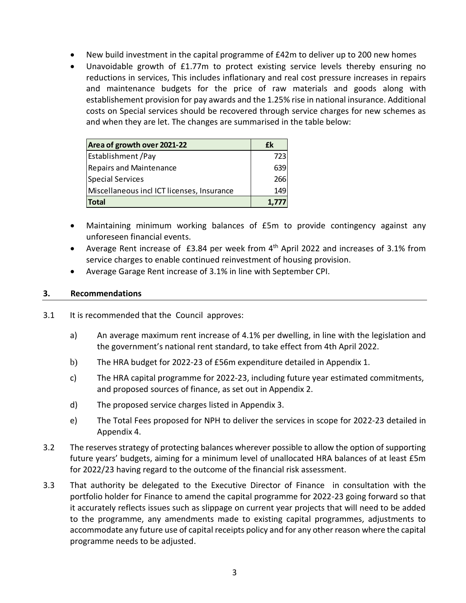- New build investment in the capital programme of £42m to deliver up to 200 new homes
- Unavoidable growth of £1.77m to protect existing service levels thereby ensuring no reductions in services, This includes inflationary and real cost pressure increases in repairs and maintenance budgets for the price of raw materials and goods along with establishement provision for pay awards and the 1.25% rise in national insurance. Additional costs on Special services should be recovered through service charges for new schemes as and when they are let. The changes are summarised in the table below:

| Area of growth over 2021-22                | fk         |
|--------------------------------------------|------------|
| <b>Establishment</b> / Pay                 | 723I       |
| <b>Repairs and Maintenance</b>             | 639        |
| Special Services                           | <b>266</b> |
| Miscellaneous incl ICT licenses, Insurance | 149        |
| Total                                      | 1,777      |

- Maintaining minimum working balances of £5m to provide contingency against any unforeseen financial events.
- Average Rent increase of £3.84 per week from 4<sup>th</sup> April 2022 and increases of 3.1% from service charges to enable continued reinvestment of housing provision.
- Average Garage Rent increase of 3.1% in line with September CPI.

#### **3. Recommendations**

- 3.1 It is recommended that the Council approves:
	- a) An average maximum rent increase of 4.1% per dwelling, in line with the legislation and the government's national rent standard, to take effect from 4th April 2022.
	- b) The HRA budget for 2022-23 of £56m expenditure detailed in Appendix 1.
	- c) The HRA capital programme for 2022-23, including future year estimated commitments, and proposed sources of finance, as set out in Appendix 2.
	- d) The proposed service charges listed in Appendix 3.
	- e) The Total Fees proposed for NPH to deliver the services in scope for 2022-23 detailed in Appendix 4.
- 3.2 The reserves strategy of protecting balances wherever possible to allow the option of supporting future years' budgets, aiming for a minimum level of unallocated HRA balances of at least £5m for 2022/23 having regard to the outcome of the financial risk assessment.
- 3.3 That authority be delegated to the Executive Director of Finance in consultation with the portfolio holder for Finance to amend the capital programme for 2022-23 going forward so that it accurately reflects issues such as slippage on current year projects that will need to be added to the programme, any amendments made to existing capital programmes, adjustments to accommodate any future use of capital receipts policy and for any other reason where the capital programme needs to be adjusted.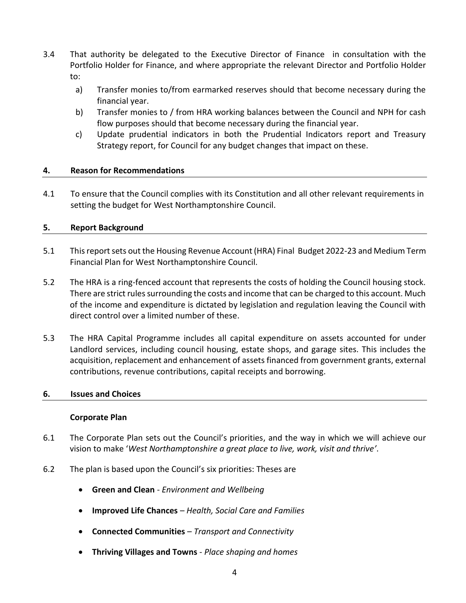- 3.4 That authority be delegated to the Executive Director of Finance in consultation with the Portfolio Holder for Finance, and where appropriate the relevant Director and Portfolio Holder to:
	- a) Transfer monies to/from earmarked reserves should that become necessary during the financial year.
	- b) Transfer monies to / from HRA working balances between the Council and NPH for cash flow purposes should that become necessary during the financial year.
	- c) Update prudential indicators in both the Prudential Indicators report and Treasury Strategy report, for Council for any budget changes that impact on these.

#### **4. Reason for Recommendations**

4.1 To ensure that the Council complies with its Constitution and all other relevant requirements in setting the budget for West Northamptonshire Council.

#### **5. Report Background**

- 5.1 This report sets out the Housing Revenue Account (HRA) Final Budget 2022-23 and Medium Term Financial Plan for West Northamptonshire Council.
- 5.2 The HRA is a ring-fenced account that represents the costs of holding the Council housing stock. There are strict rules surrounding the costs and income that can be charged to this account. Much of the income and expenditure is dictated by legislation and regulation leaving the Council with direct control over a limited number of these.
- 5.3 The HRA Capital Programme includes all capital expenditure on assets accounted for under Landlord services, including council housing, estate shops, and garage sites. This includes the acquisition, replacement and enhancement of assets financed from government grants, external contributions, revenue contributions, capital receipts and borrowing.

#### **6. Issues and Choices**

#### **Corporate Plan**

- 6.1 The Corporate Plan sets out the Council's priorities, and the way in which we will achieve our vision to make '*West Northamptonshire a great place to live, work, visit and thrive'*.
- 6.2 The plan is based upon the Council's six priorities: Theses are
	- **Green and Clean** *Environment and Wellbeing*
	- **Improved Life Chances** *Health, Social Care and Families*
	- **Connected Communities** *Transport and Connectivity*
	- **Thriving Villages and Towns** *Place shaping and homes*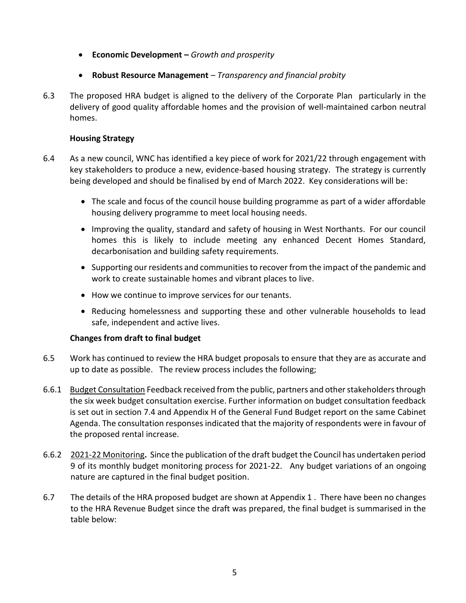- **Economic Development –** *Growth and prosperity*
- **Robust Resource Management** *– Transparency and financial probity*
- 6.3 The proposed HRA budget is aligned to the delivery of the Corporate Plan particularly in the delivery of good quality affordable homes and the provision of well-maintained carbon neutral homes.

#### **Housing Strategy**

- 6.4 As a new council, WNC has identified a key piece of work for 2021/22 through engagement with key stakeholders to produce a new, evidence-based housing strategy. The strategy is currently being developed and should be finalised by end of March 2022. Key considerations will be:
	- The scale and focus of the council house building programme as part of a wider affordable housing delivery programme to meet local housing needs.
	- Improving the quality, standard and safety of housing in West Northants. For our council homes this is likely to include meeting any enhanced Decent Homes Standard, decarbonisation and building safety requirements.
	- Supporting our residents and communities to recover from the impact of the pandemic and work to create sustainable homes and vibrant places to live.
	- How we continue to improve services for our tenants.
	- Reducing homelessness and supporting these and other vulnerable households to lead safe, independent and active lives.

#### **Changes from draft to final budget**

- 6.5 Work has continued to review the HRA budget proposals to ensure that they are as accurate and up to date as possible. The review process includes the following;
- 6.6.1 Budget Consultation Feedback received from the public, partners and other stakeholders through the six week budget consultation exercise. Further information on budget consultation feedback is set out in section 7.4 and Appendix H of the General Fund Budget report on the same Cabinet Agenda. The consultation responses indicated that the majority of respondents were in favour of the proposed rental increase.
- 6.6.2 2021-22 Monitoring**.** Since the publication of the draft budget the Council has undertaken period 9 of its monthly budget monitoring process for 2021-22. Any budget variations of an ongoing nature are captured in the final budget position.
- 6.7 The details of the HRA proposed budget are shown at Appendix 1 . There have been no changes to the HRA Revenue Budget since the draft was prepared, the final budget is summarised in the table below: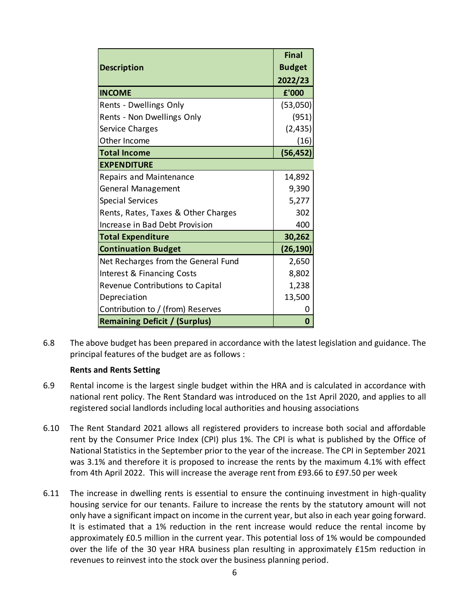| <b>Description</b>                   | <b>Final</b><br><b>Budget</b><br>2022/23 |
|--------------------------------------|------------------------------------------|
| <b>INCOME</b>                        | £'000                                    |
| Rents - Dwellings Only               | (53,050)                                 |
| Rents - Non Dwellings Only           | (951)                                    |
| Service Charges                      | (2, 435)                                 |
| Other Income                         | (16)                                     |
| <b>Total Income</b>                  | (56, 452)                                |
| <b>EXPENDITURE</b>                   |                                          |
| Repairs and Maintenance              | 14,892                                   |
| <b>General Management</b>            | 9,390                                    |
| <b>Special Services</b>              | 5,277                                    |
| Rents, Rates, Taxes & Other Charges  | 302                                      |
| Increase in Bad Debt Provision       | 400                                      |
| <b>Total Expenditure</b>             | 30,262                                   |
| <b>Continuation Budget</b>           | (26, 190)                                |
| Net Recharges from the General Fund  | 2,650                                    |
| Interest & Financing Costs           | 8,802                                    |
| Revenue Contributions to Capital     | 1,238                                    |
| Depreciation                         | 13,500                                   |
| Contribution to / (from) Reserves    |                                          |
| <b>Remaining Deficit / (Surplus)</b> | 0                                        |

6.8 The above budget has been prepared in accordance with the latest legislation and guidance. The principal features of the budget are as follows :

#### **Rents and Rents Setting**

- 6.9 Rental income is the largest single budget within the HRA and is calculated in accordance with national rent policy. The Rent Standard was introduced on the 1st April 2020, and applies to all registered social landlords including local authorities and housing associations
- 6.10 The Rent Standard 2021 allows all registered providers to increase both social and affordable rent by the Consumer Price Index (CPI) plus 1%. The CPI is what is published by the Office of National Statistics in the September prior to the year of the increase. The CPI in September 2021 was 3.1% and therefore it is proposed to increase the rents by the maximum 4.1% with effect from 4th April 2022. This will increase the average rent from £93.66 to £97.50 per week
- 6.11 The increase in dwelling rents is essential to ensure the continuing investment in high-quality housing service for our tenants. Failure to increase the rents by the statutory amount will not only have a significant impact on income in the current year, but also in each year going forward. It is estimated that a 1% reduction in the rent increase would reduce the rental income by approximately £0.5 million in the current year. This potential loss of 1% would be compounded over the life of the 30 year HRA business plan resulting in approximately £15m reduction in revenues to reinvest into the stock over the business planning period.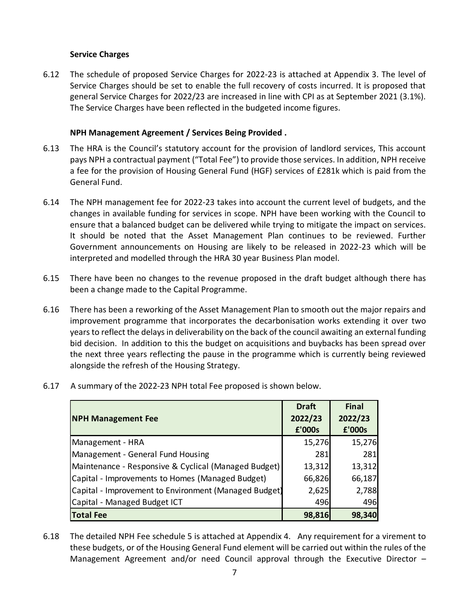#### **Service Charges**

6.12 The schedule of proposed Service Charges for 2022-23 is attached at Appendix 3. The level of Service Charges should be set to enable the full recovery of costs incurred. It is proposed that general Service Charges for 2022/23 are increased in line with CPI as at September 2021 (3.1%). The Service Charges have been reflected in the budgeted income figures.

#### **NPH Management Agreement / Services Being Provided .**

- 6.13 The HRA is the Council's statutory account for the provision of landlord services, This account pays NPH a contractual payment ("Total Fee") to provide those services. In addition, NPH receive a fee for the provision of Housing General Fund (HGF) services of £281k which is paid from the General Fund.
- 6.14 The NPH management fee for 2022-23 takes into account the current level of budgets, and the changes in available funding for services in scope. NPH have been working with the Council to ensure that a balanced budget can be delivered while trying to mitigate the impact on services. It should be noted that the Asset Management Plan continues to be reviewed. Further Government announcements on Housing are likely to be released in 2022-23 which will be interpreted and modelled through the HRA 30 year Business Plan model.
- 6.15 There have been no changes to the revenue proposed in the draft budget although there has been a change made to the Capital Programme.
- 6.16 There has been a reworking of the Asset Management Plan to smooth out the major repairs and improvement programme that incorporates the decarbonisation works extending it over two years to reflect the delays in deliverability on the back of the council awaiting an external funding bid decision. In addition to this the budget on acquisitions and buybacks has been spread over the next three years reflecting the pause in the programme which is currently being reviewed alongside the refresh of the Housing Strategy.
- 6.17 A summary of the 2022-23 NPH total Fee proposed is shown below.

|                                                       | <b>Draft</b> | <b>Final</b> |
|-------------------------------------------------------|--------------|--------------|
| <b>NPH Management Fee</b>                             | 2022/23      | 2022/23      |
|                                                       | £'000s       | £'000s       |
| Management - HRA                                      | 15,276       | 15,276       |
| Management - General Fund Housing                     | 281          | 281          |
| Maintenance - Responsive & Cyclical (Managed Budget)  | 13,312       | 13,312       |
| Capital - Improvements to Homes (Managed Budget)      | 66,826       | 66,187       |
| Capital - Improvement to Environment (Managed Budget) | 2,625        | 2,788        |
| Capital - Managed Budget ICT                          | 496          | 496          |
| <b>Total Fee</b>                                      | 98,816       | 98,340       |

6.18 The detailed NPH Fee schedule 5 is attached at Appendix 4. Any requirement for a virement to these budgets, or of the Housing General Fund element will be carried out within the rules of the Management Agreement and/or need Council approval through the Executive Director –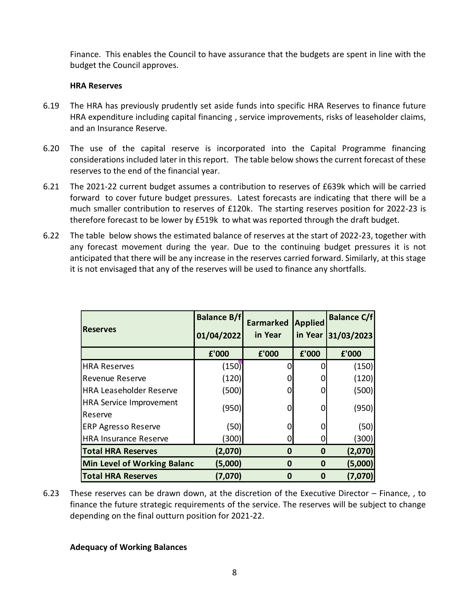Finance. This enables the Council to have assurance that the budgets are spent in line with the budget the Council approves.

#### **HRA Reserves**

- 6.19 The HRA has previously prudently set aside funds into specific HRA Reserves to finance future HRA expenditure including capital financing , service improvements, risks of leaseholder claims, and an Insurance Reserve.
- 6.20 The use of the capital reserve is incorporated into the Capital Programme financing considerations included later in this report. The table below shows the current forecast of these reserves to the end of the financial year.
- 6.21 The 2021-22 current budget assumes a contribution to reserves of £639k which will be carried forward to cover future budget pressures. Latest forecasts are indicating that there will be a much smaller contribution to reserves of £120k. The starting reserves position for 2022-23 is therefore forecast to be lower by £519k to what was reported through the draft budget.
- 6.22 The table below shows the estimated balance of reserves at the start of 2022-23, together with any forecast movement during the year. Due to the continuing budget pressures it is not anticipated that there will be any increase in the reserves carried forward. Similarly, at this stage it is not envisaged that any of the reserves will be used to finance any shortfalls.

| £'000<br>(150)<br>(120)                                                                                                                                                                                                         | £'000<br>0 | £'000    | £'000   |  |
|---------------------------------------------------------------------------------------------------------------------------------------------------------------------------------------------------------------------------------|------------|----------|---------|--|
|                                                                                                                                                                                                                                 |            |          |         |  |
|                                                                                                                                                                                                                                 |            | 0        | (150)   |  |
|                                                                                                                                                                                                                                 | O          | 0        | (120)   |  |
| (500)                                                                                                                                                                                                                           | 0          | 0        | (500)   |  |
|                                                                                                                                                                                                                                 |            |          |         |  |
|                                                                                                                                                                                                                                 |            |          | (950)   |  |
| (50)                                                                                                                                                                                                                            | 0          | 0        | (50)    |  |
| (300)                                                                                                                                                                                                                           | 0          | 0        | (300)   |  |
| (2,070)                                                                                                                                                                                                                         | $\bf{0}$   | 0        | (2,070) |  |
| (5,000)                                                                                                                                                                                                                         | 0          | 0        | (5,000) |  |
| (7,070)                                                                                                                                                                                                                         | 0          | $\bf{0}$ | (7,070) |  |
| These reserves can be drawn down, at the discretion of the Executive Director -<br>finance the future strategic requirements of the service. The reserves will be subje<br>depending on the final outturn position for 2021-22. |            |          |         |  |
|                                                                                                                                                                                                                                 | (950)      | 0        | 0       |  |

6.23 These reserves can be drawn down, at the discretion of the Executive Director – Finance, , to finance the future strategic requirements of the service. The reserves will be subject to change depending on the final outturn position for 2021-22.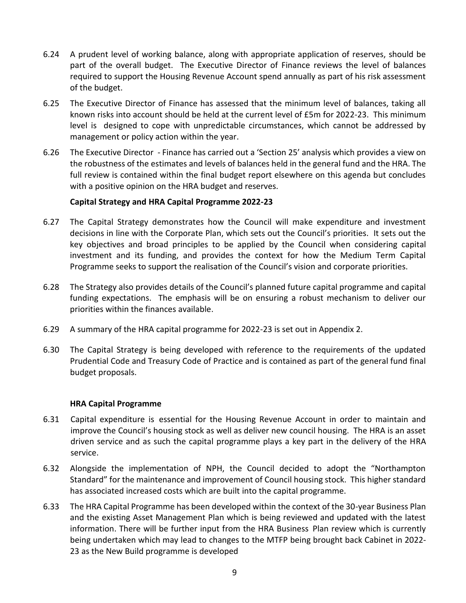- 6.24 A prudent level of working balance, along with appropriate application of reserves, should be part of the overall budget. The Executive Director of Finance reviews the level of balances required to support the Housing Revenue Account spend annually as part of his risk assessment of the budget.
- 6.25 The Executive Director of Finance has assessed that the minimum level of balances, taking all known risks into account should be held at the current level of £5m for 2022-23. This minimum level is designed to cope with unpredictable circumstances, which cannot be addressed by management or policy action within the year.
- 6.26 The Executive Director Finance has carried out a 'Section 25' analysis which provides a view on the robustness of the estimates and levels of balances held in the general fund and the HRA. The full review is contained within the final budget report elsewhere on this agenda but concludes with a positive opinion on the HRA budget and reserves.

#### **Capital Strategy and HRA Capital Programme 2022-23**

- 6.27 The Capital Strategy demonstrates how the Council will make expenditure and investment decisions in line with the Corporate Plan, which sets out the Council's priorities. It sets out the key objectives and broad principles to be applied by the Council when considering capital investment and its funding, and provides the context for how the Medium Term Capital Programme seeks to support the realisation of the Council's vision and corporate priorities.
- 6.28 The Strategy also provides details of the Council's planned future capital programme and capital funding expectations. The emphasis will be on ensuring a robust mechanism to deliver our priorities within the finances available.
- 6.29 A summary of the HRA capital programme for 2022-23 is set out in Appendix 2.
- 6.30 The Capital Strategy is being developed with reference to the requirements of the updated Prudential Code and Treasury Code of Practice and is contained as part of the general fund final budget proposals.

#### **HRA Capital Programme**

- 6.31 Capital expenditure is essential for the Housing Revenue Account in order to maintain and improve the Council's housing stock as well as deliver new council housing. The HRA is an asset driven service and as such the capital programme plays a key part in the delivery of the HRA service.
- 6.32 Alongside the implementation of NPH, the Council decided to adopt the "Northampton Standard" for the maintenance and improvement of Council housing stock. This higher standard has associated increased costs which are built into the capital programme.
- 6.33 The HRA Capital Programme has been developed within the context of the 30-year Business Plan and the existing Asset Management Plan which is being reviewed and updated with the latest information. There will be further input from the HRA Business Plan review which is currently being undertaken which may lead to changes to the MTFP being brought back Cabinet in 2022- 23 as the New Build programme is developed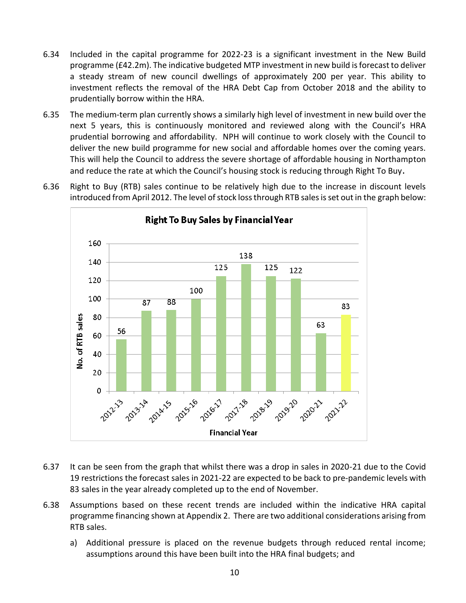- 6.34 Included in the capital programme for 2022-23 is a significant investment in the New Build programme (£42.2m). The indicative budgeted MTP investment in new build is forecast to deliver a steady stream of new council dwellings of approximately 200 per year. This ability to investment reflects the removal of the HRA Debt Cap from October 2018 and the ability to prudentially borrow within the HRA.
- 6.35 The medium-term plan currently shows a similarly high level of investment in new build over the next 5 years, this is continuously monitored and reviewed along with the Council's HRA prudential borrowing and affordability. NPH will continue to work closely with the Council to deliver the new build programme for new social and affordable homes over the coming years. This will help the Council to address the severe shortage of affordable housing in Northampton and reduce the rate at which the Council's housing stock is reducing through Right To Buy.
	- **Right To Buy Sales by Financial Year** 160 138 140 125 125 122 120 100 100 87 88 83 No. of RTB sales 80 63 56 60 40 20  $\mathbf 0$ A 2014-15 **2015-16** 2017-18 2016-17 **POZEZ** 2013-14 2019-20 2012-13 2020-21-2021-22 **Financial Year**
- 6.36 Right to Buy (RTB) sales continue to be relatively high due to the increase in discount levels introduced from April 2012. The level of stock loss through RTB sales is set out in the graph below:

- 6.37 It can be seen from the graph that whilst there was a drop in sales in 2020-21 due to the Covid 19 restrictions the forecast sales in 2021-22 are expected to be back to pre-pandemic levels with 83 sales in the year already completed up to the end of November.
- 6.38 Assumptions based on these recent trends are included within the indicative HRA capital programme financing shown at Appendix 2. There are two additional considerations arising from RTB sales.
	- a) Additional pressure is placed on the revenue budgets through reduced rental income; assumptions around this have been built into the HRA final budgets; and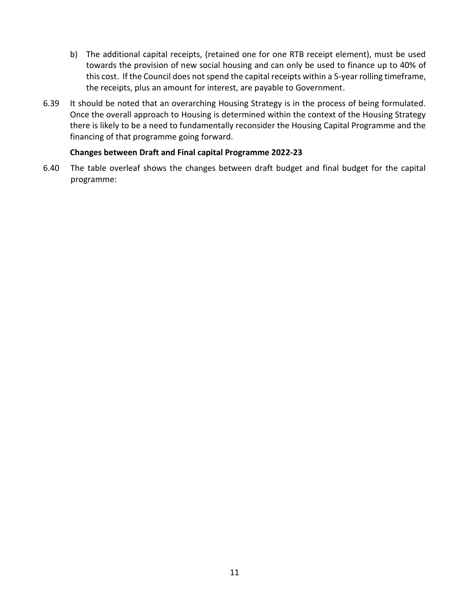- b) The additional capital receipts, (retained one for one RTB receipt element), must be used towards the provision of new social housing and can only be used to finance up to 40% of this cost. If the Council does not spend the capital receipts within a 5-year rolling timeframe, the receipts, plus an amount for interest, are payable to Government.
- 6.39 It should be noted that an overarching Housing Strategy is in the process of being formulated. Once the overall approach to Housing is determined within the context of the Housing Strategy there is likely to be a need to fundamentally reconsider the Housing Capital Programme and the financing of that programme going forward.

#### **Changes between Draft and Final capital Programme 2022-23**

6.40 The table overleaf shows the changes between draft budget and final budget for the capital programme: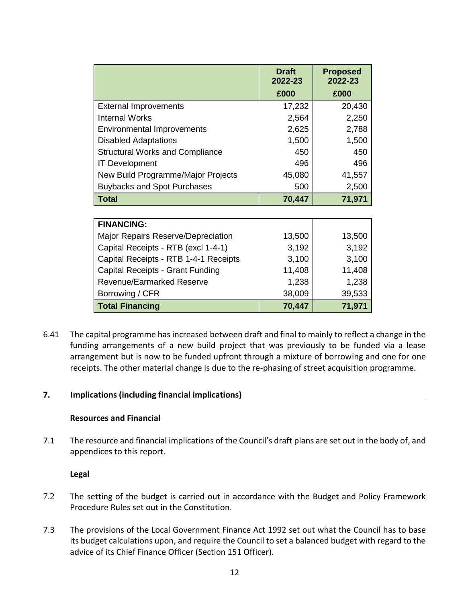|                                        | <b>Draft</b><br>2022-23 | <b>Proposed</b><br>2022-23 |
|----------------------------------------|-------------------------|----------------------------|
|                                        | £000                    | £000                       |
| <b>External Improvements</b>           | 17,232                  | 20,430                     |
| <b>Internal Works</b>                  | 2,564                   | 2,250                      |
| <b>Environmental Improvements</b>      | 2,625                   | 2,788                      |
| <b>Disabled Adaptations</b>            | 1,500                   | 1,500                      |
| <b>Structural Works and Compliance</b> | 450                     | 450                        |
| <b>IT Development</b>                  | 496                     | 496                        |
| New Build Programme/Major Projects     | 45,080                  | 41,557                     |
| <b>Buybacks and Spot Purchases</b>     | 500                     | 2,500                      |
| <b>Total</b>                           | 70,447                  | 71,971                     |
|                                        |                         |                            |
| <b>FINANCING:</b>                      |                         |                            |
| Major Repairs Reserve/Depreciation     | 13,500                  | 13,500                     |
| Capital Receipts - RTB (excl 1-4-1)    | 3,192                   | 3,192                      |
| Capital Receipts - RTB 1-4-1 Receipts  | 3,100                   | 3,100                      |
| Capital Receipts - Grant Funding       | 11,408                  | 11,408                     |
| Revenue/Earmarked Reserve              | 1,238                   | 1,238                      |
| Borrowing / CFR                        | 38,009                  | 39,533                     |

6.41 The capital programme has increased between draft and final to mainly to reflect a change in the funding arrangements of a new build project that was previously to be funded via a lease arrangement but is now to be funded upfront through a mixture of borrowing and one for one receipts. The other material change is due to the re-phasing of street acquisition programme.

**Total Financing 70,447 71,971**

#### **7. Implications (including financial implications)**

#### **Resources and Financial**

7.1 The resource and financial implications of the Council's draft plans are set out in the body of, and appendices to this report.

#### **Legal**

- 7.2 The setting of the budget is carried out in accordance with the Budget and Policy Framework Procedure Rules set out in the Constitution.
- 7.3 The provisions of the Local Government Finance Act 1992 set out what the Council has to base its budget calculations upon, and require the Council to set a balanced budget with regard to the advice of its Chief Finance Officer (Section 151 Officer).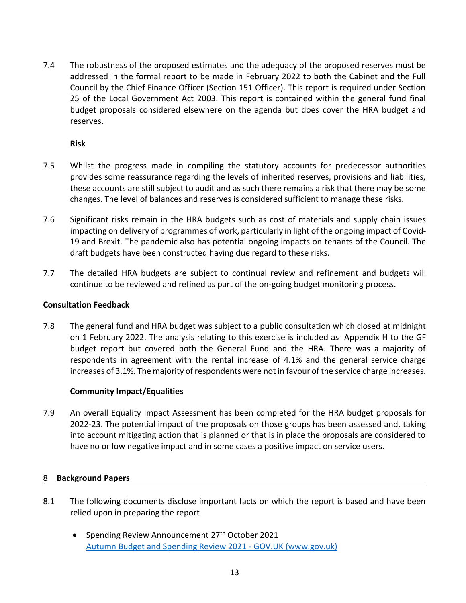7.4 The robustness of the proposed estimates and the adequacy of the proposed reserves must be addressed in the formal report to be made in February 2022 to both the Cabinet and the Full Council by the Chief Finance Officer (Section 151 Officer). This report is required under Section 25 of the Local Government Act 2003. This report is contained within the general fund final budget proposals considered elsewhere on the agenda but does cover the HRA budget and reserves.

**Risk** 

- 7.5 Whilst the progress made in compiling the statutory accounts for predecessor authorities provides some reassurance regarding the levels of inherited reserves, provisions and liabilities, these accounts are still subject to audit and as such there remains a risk that there may be some changes. The level of balances and reserves is considered sufficient to manage these risks.
- 7.6 Significant risks remain in the HRA budgets such as cost of materials and supply chain issues impacting on delivery of programmes of work, particularly in light of the ongoing impact of Covid-19 and Brexit. The pandemic also has potential ongoing impacts on tenants of the Council. The draft budgets have been constructed having due regard to these risks.
- 7.7 The detailed HRA budgets are subject to continual review and refinement and budgets will continue to be reviewed and refined as part of the on-going budget monitoring process.

#### **Consultation Feedback**

7.8 The general fund and HRA budget was subject to a public consultation which closed at midnight on 1 February 2022. The analysis relating to this exercise is included as Appendix H to the GF budget report but covered both the General Fund and the HRA. There was a majority of respondents in agreement with the rental increase of 4.1% and the general service charge increases of 3.1%. The majority of respondents were not in favour of the service charge increases.

#### **Community Impact/Equalities**

7.9 An overall Equality Impact Assessment has been completed for the HRA budget proposals for 2022-23. The potential impact of the proposals on those groups has been assessed and, taking into account mitigating action that is planned or that is in place the proposals are considered to have no or low negative impact and in some cases a positive impact on service users.

#### 8 **Background Papers**

- 8.1 The following documents disclose important facts on which the report is based and have been relied upon in preparing the report
	- Spending Review Announcement 27<sup>th</sup> October 2021 Autumn Budget and Spending Review 2021 - GOV.UK (www.gov.uk)